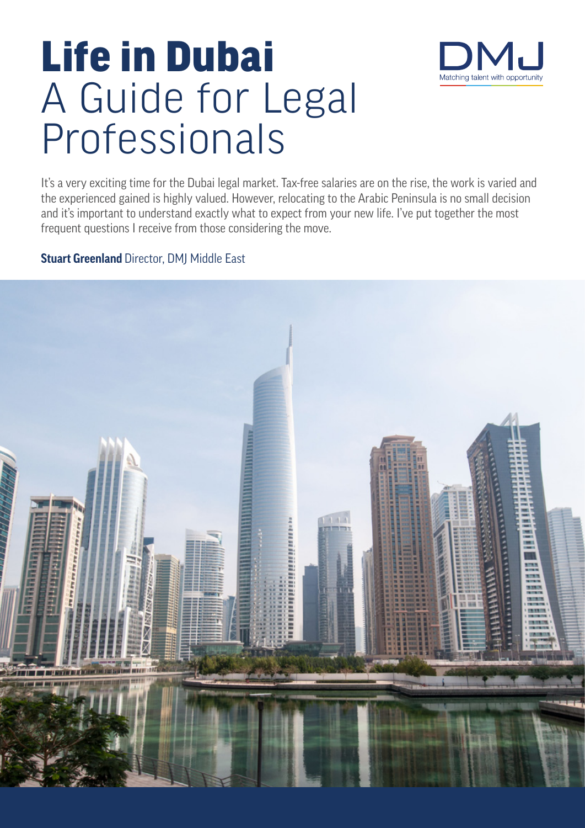

# Life in Dubai A Guide for Legal Professionals

It's a very exciting time for the Dubai legal market. Tax-free salaries are on the rise, the work is varied and the experienced gained is highly valued. However, relocating to the Arabic Peninsula is no small decision and it's important to understand exactly what to expect from your new life. I've put together the most frequent questions I receive from those considering the move.

# **Stuart Greenland** Director, DMJ Middle East